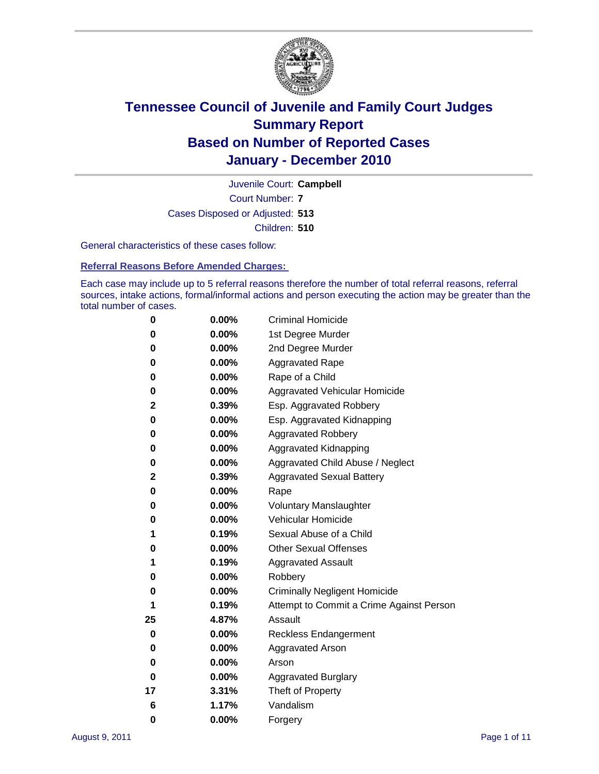

Court Number: **7** Juvenile Court: **Campbell** Cases Disposed or Adjusted: **513** Children: **510**

General characteristics of these cases follow:

**Referral Reasons Before Amended Charges:** 

Each case may include up to 5 referral reasons therefore the number of total referral reasons, referral sources, intake actions, formal/informal actions and person executing the action may be greater than the total number of cases.

| 0  | 0.00%    | <b>Criminal Homicide</b>                 |
|----|----------|------------------------------------------|
| 0  | 0.00%    | 1st Degree Murder                        |
| 0  | 0.00%    | 2nd Degree Murder                        |
| 0  | 0.00%    | <b>Aggravated Rape</b>                   |
| 0  | 0.00%    | Rape of a Child                          |
| 0  | 0.00%    | Aggravated Vehicular Homicide            |
| 2  | 0.39%    | Esp. Aggravated Robbery                  |
| 0  | $0.00\%$ | Esp. Aggravated Kidnapping               |
| 0  | 0.00%    | <b>Aggravated Robbery</b>                |
| 0  | 0.00%    | Aggravated Kidnapping                    |
| 0  | 0.00%    | Aggravated Child Abuse / Neglect         |
| 2  | 0.39%    | <b>Aggravated Sexual Battery</b>         |
| 0  | 0.00%    | Rape                                     |
| 0  | 0.00%    | <b>Voluntary Manslaughter</b>            |
| 0  | 0.00%    | Vehicular Homicide                       |
| 1  | 0.19%    | Sexual Abuse of a Child                  |
| 0  | 0.00%    | <b>Other Sexual Offenses</b>             |
| 1  | 0.19%    | <b>Aggravated Assault</b>                |
| 0  | 0.00%    | Robbery                                  |
| 0  | 0.00%    | <b>Criminally Negligent Homicide</b>     |
| 1  | 0.19%    | Attempt to Commit a Crime Against Person |
| 25 | 4.87%    | Assault                                  |
| 0  | 0.00%    | <b>Reckless Endangerment</b>             |
| 0  | 0.00%    | <b>Aggravated Arson</b>                  |
| 0  | 0.00%    | Arson                                    |
| 0  | 0.00%    | <b>Aggravated Burglary</b>               |
| 17 | 3.31%    | Theft of Property                        |
| 6  | 1.17%    | Vandalism                                |
| 0  | 0.00%    | Forgery                                  |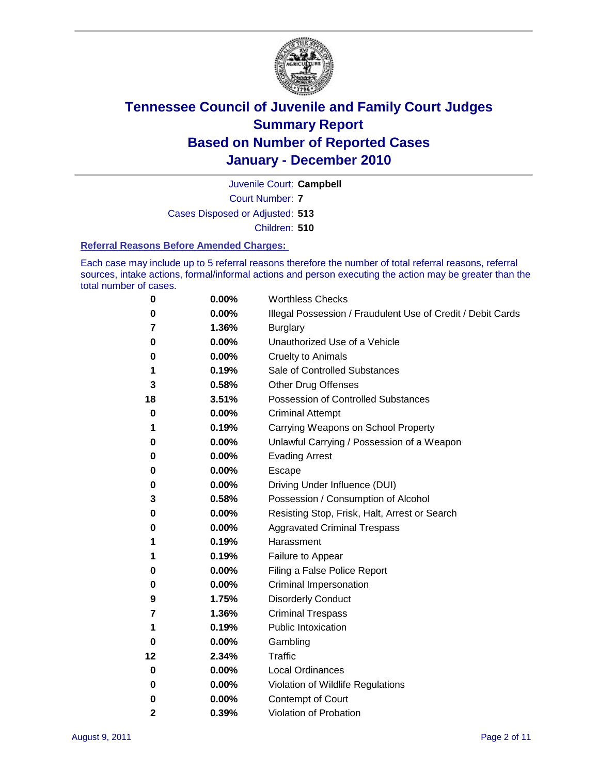

Court Number: **7** Juvenile Court: **Campbell**

Cases Disposed or Adjusted: **513**

Children: **510**

#### **Referral Reasons Before Amended Charges:**

Each case may include up to 5 referral reasons therefore the number of total referral reasons, referral sources, intake actions, formal/informal actions and person executing the action may be greater than the total number of cases.

| 0  | 0.00% | <b>Worthless Checks</b>                                     |  |  |
|----|-------|-------------------------------------------------------------|--|--|
| 0  | 0.00% | Illegal Possession / Fraudulent Use of Credit / Debit Cards |  |  |
| 7  | 1.36% | <b>Burglary</b>                                             |  |  |
| 0  | 0.00% | Unauthorized Use of a Vehicle                               |  |  |
| 0  | 0.00% | <b>Cruelty to Animals</b>                                   |  |  |
| 1  | 0.19% | Sale of Controlled Substances                               |  |  |
| 3  | 0.58% | <b>Other Drug Offenses</b>                                  |  |  |
| 18 | 3.51% | <b>Possession of Controlled Substances</b>                  |  |  |
| 0  | 0.00% | <b>Criminal Attempt</b>                                     |  |  |
| 1  | 0.19% | Carrying Weapons on School Property                         |  |  |
| 0  | 0.00% | Unlawful Carrying / Possession of a Weapon                  |  |  |
| 0  | 0.00% | <b>Evading Arrest</b>                                       |  |  |
| 0  | 0.00% | Escape                                                      |  |  |
| 0  | 0.00% | Driving Under Influence (DUI)                               |  |  |
| 3  | 0.58% | Possession / Consumption of Alcohol                         |  |  |
| 0  | 0.00% | Resisting Stop, Frisk, Halt, Arrest or Search               |  |  |
| 0  | 0.00% | <b>Aggravated Criminal Trespass</b>                         |  |  |
| 1  | 0.19% | Harassment                                                  |  |  |
| 1  | 0.19% | Failure to Appear                                           |  |  |
| 0  | 0.00% | Filing a False Police Report                                |  |  |
| 0  | 0.00% | Criminal Impersonation                                      |  |  |
| 9  | 1.75% | <b>Disorderly Conduct</b>                                   |  |  |
| 7  | 1.36% | <b>Criminal Trespass</b>                                    |  |  |
| 1  | 0.19% | <b>Public Intoxication</b>                                  |  |  |
| 0  | 0.00% | Gambling                                                    |  |  |
| 12 | 2.34% | Traffic                                                     |  |  |
| 0  | 0.00% | <b>Local Ordinances</b>                                     |  |  |
| 0  | 0.00% | Violation of Wildlife Regulations                           |  |  |
| 0  | 0.00% | Contempt of Court                                           |  |  |
| 2  | 0.39% | Violation of Probation                                      |  |  |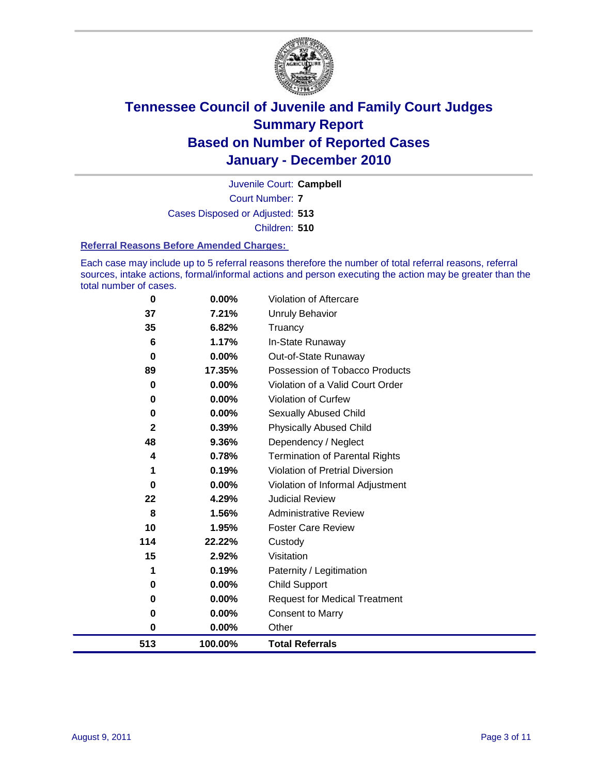

Court Number: **7** Juvenile Court: **Campbell** Cases Disposed or Adjusted: **513** Children: **510**

#### **Referral Reasons Before Amended Charges:**

Each case may include up to 5 referral reasons therefore the number of total referral reasons, referral sources, intake actions, formal/informal actions and person executing the action may be greater than the total number of cases.

| 0                       | 0.00%    | Violation of Aftercare                 |
|-------------------------|----------|----------------------------------------|
| 37                      | 7.21%    | <b>Unruly Behavior</b>                 |
| 35                      | 6.82%    | Truancy                                |
| 6                       | 1.17%    | In-State Runaway                       |
| 0                       | 0.00%    | Out-of-State Runaway                   |
| 89                      | 17.35%   | Possession of Tobacco Products         |
| 0                       | $0.00\%$ | Violation of a Valid Court Order       |
| 0                       | 0.00%    | Violation of Curfew                    |
| $\bf{0}$                | $0.00\%$ | Sexually Abused Child                  |
| $\overline{\mathbf{2}}$ | 0.39%    | <b>Physically Abused Child</b>         |
| 48                      | 9.36%    | Dependency / Neglect                   |
| 4                       | 0.78%    | <b>Termination of Parental Rights</b>  |
| 1                       | 0.19%    | <b>Violation of Pretrial Diversion</b> |
| 0                       | 0.00%    | Violation of Informal Adjustment       |
| 22                      | 4.29%    | <b>Judicial Review</b>                 |
| 8                       | 1.56%    | <b>Administrative Review</b>           |
| 10                      | 1.95%    | <b>Foster Care Review</b>              |
| 114                     | 22.22%   | Custody                                |
| 15                      | 2.92%    | Visitation                             |
| 1                       | 0.19%    | Paternity / Legitimation               |
| 0                       | 0.00%    | <b>Child Support</b>                   |
| 0                       | 0.00%    | <b>Request for Medical Treatment</b>   |
| 0                       | 0.00%    | <b>Consent to Marry</b>                |
| 0                       | 0.00%    | Other                                  |
| 513                     | 100.00%  | <b>Total Referrals</b>                 |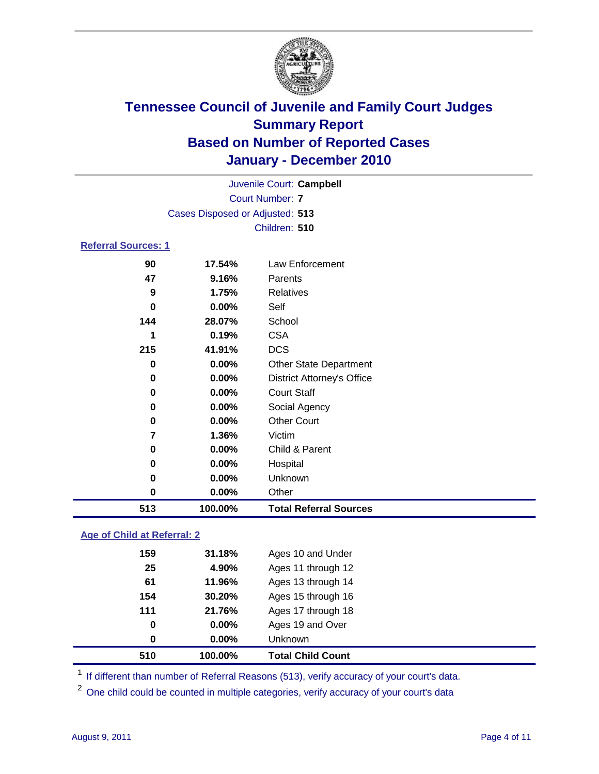

| Juvenile Court: Campbell   |                                 |                                   |  |  |  |
|----------------------------|---------------------------------|-----------------------------------|--|--|--|
|                            | <b>Court Number: 7</b>          |                                   |  |  |  |
|                            | Cases Disposed or Adjusted: 513 |                                   |  |  |  |
|                            | Children: 510                   |                                   |  |  |  |
| <b>Referral Sources: 1</b> |                                 |                                   |  |  |  |
| 90                         | 17.54%                          | <b>Law Enforcement</b>            |  |  |  |
| 47                         | 9.16%                           | Parents                           |  |  |  |
| 9                          | 1.75%                           | <b>Relatives</b>                  |  |  |  |
| $\bf{0}$                   | $0.00\%$                        | Self                              |  |  |  |
| 144                        | 28.07%                          | School                            |  |  |  |
| 1                          | 0.19%                           | <b>CSA</b>                        |  |  |  |
| 215                        | 41.91%                          | <b>DCS</b>                        |  |  |  |
| 0                          | $0.00\%$                        | <b>Other State Department</b>     |  |  |  |
| 0                          | 0.00%                           | <b>District Attorney's Office</b> |  |  |  |
| 0                          | 0.00%                           | <b>Court Staff</b>                |  |  |  |
| 0                          | 0.00%                           | Social Agency                     |  |  |  |
| $\mathbf 0$                | 0.00%                           | <b>Other Court</b>                |  |  |  |
| $\overline{7}$             | 1.36%                           | Victim                            |  |  |  |
| 0                          | 0.00%                           | Child & Parent                    |  |  |  |
| 0                          | $0.00\%$                        | Hospital                          |  |  |  |
| 0                          | $0.00\%$                        | Unknown                           |  |  |  |
| 0                          | 0.00%                           | Other                             |  |  |  |
| 513                        | 100.00%                         | <b>Total Referral Sources</b>     |  |  |  |

### **Age of Child at Referral: 2**

| 0<br>0 | 0.00%<br>$0.00\%$ | Ages 19 and Over<br><b>Unknown</b> |  |
|--------|-------------------|------------------------------------|--|
|        |                   |                                    |  |
|        |                   |                                    |  |
| 111    | 21.76%            | Ages 17 through 18                 |  |
| 154    | 30.20%            | Ages 15 through 16                 |  |
| 61     | 11.96%            | Ages 13 through 14                 |  |
| 25     | 4.90%             | Ages 11 through 12                 |  |
| 159    | 31.18%            | Ages 10 and Under                  |  |
|        |                   |                                    |  |

<sup>1</sup> If different than number of Referral Reasons (513), verify accuracy of your court's data.

<sup>2</sup> One child could be counted in multiple categories, verify accuracy of your court's data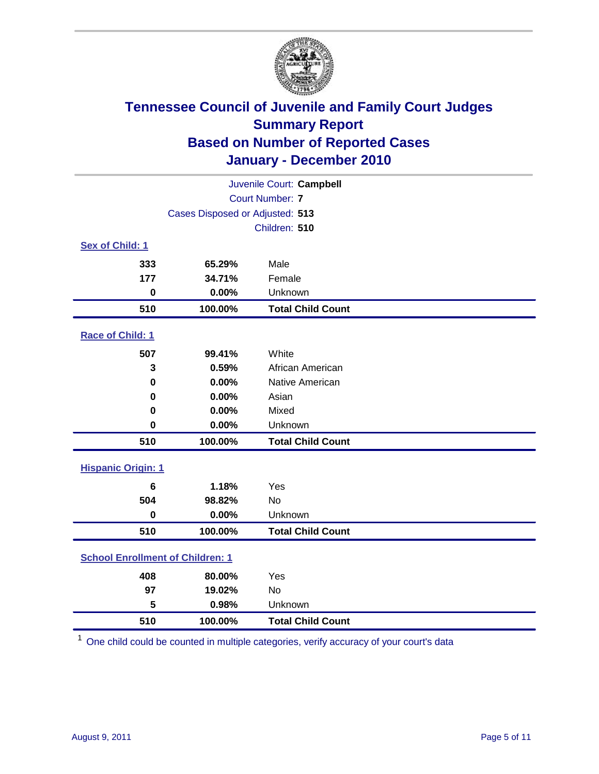

| Juvenile Court: Campbell  |                                         |                          |  |  |  |
|---------------------------|-----------------------------------------|--------------------------|--|--|--|
|                           | <b>Court Number: 7</b>                  |                          |  |  |  |
|                           | Cases Disposed or Adjusted: 513         |                          |  |  |  |
|                           | Children: 510                           |                          |  |  |  |
| Sex of Child: 1           |                                         |                          |  |  |  |
| 333                       | 65.29%                                  | Male                     |  |  |  |
| 177                       | 34.71%                                  | Female                   |  |  |  |
| $\mathbf 0$               | 0.00%                                   | Unknown                  |  |  |  |
| 510                       | 100.00%                                 | <b>Total Child Count</b> |  |  |  |
| Race of Child: 1          |                                         |                          |  |  |  |
| 507                       | 99.41%                                  | White                    |  |  |  |
| 3                         | 0.59%                                   | African American         |  |  |  |
| $\mathbf 0$               | 0.00%                                   | Native American          |  |  |  |
| 0                         | 0.00%                                   | Asian                    |  |  |  |
| 0                         | 0.00%                                   | Mixed                    |  |  |  |
| 0                         | 0.00%                                   | Unknown                  |  |  |  |
| 510                       | 100.00%                                 | <b>Total Child Count</b> |  |  |  |
| <b>Hispanic Origin: 1</b> |                                         |                          |  |  |  |
| 6                         | 1.18%                                   | Yes                      |  |  |  |
| 504                       | 98.82%                                  | <b>No</b>                |  |  |  |
| $\mathbf 0$               | 0.00%                                   | Unknown                  |  |  |  |
| 510                       | 100.00%                                 | <b>Total Child Count</b> |  |  |  |
|                           |                                         |                          |  |  |  |
|                           | <b>School Enrollment of Children: 1</b> |                          |  |  |  |
| 408                       | 80.00%                                  | Yes                      |  |  |  |
| 97                        | 19.02%                                  | No                       |  |  |  |
| 5                         | 0.98%                                   | Unknown                  |  |  |  |
| 510                       | 100.00%                                 | <b>Total Child Count</b> |  |  |  |

One child could be counted in multiple categories, verify accuracy of your court's data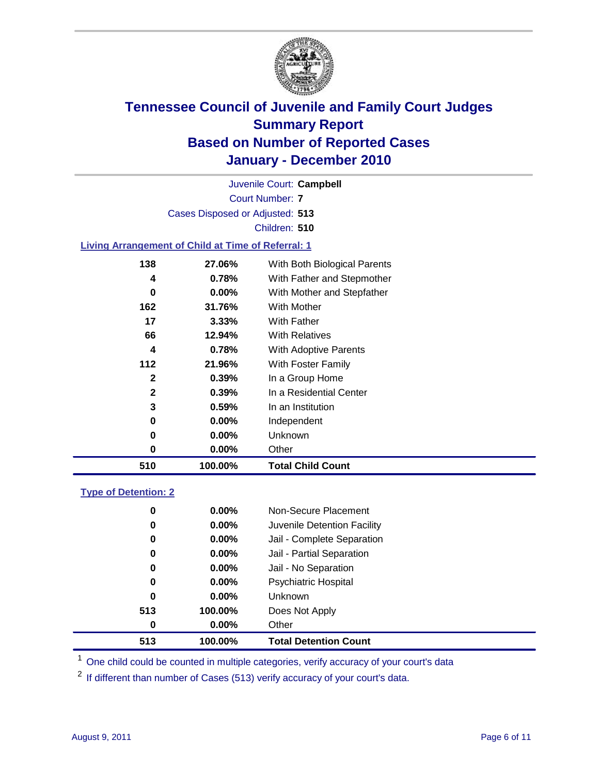

Court Number: **7** Juvenile Court: **Campbell** Cases Disposed or Adjusted: **513** Children: **510**

### **Living Arrangement of Child at Time of Referral: 1**

| 510          | 100.00%  | <b>Total Child Count</b>     |
|--------------|----------|------------------------------|
| 0            | $0.00\%$ | Other                        |
| 0            | $0.00\%$ | Unknown                      |
| 0            | $0.00\%$ | Independent                  |
| 3            | 0.59%    | In an Institution            |
| $\mathbf{2}$ | 0.39%    | In a Residential Center      |
| $\mathbf{2}$ | 0.39%    | In a Group Home              |
| 112          | 21.96%   | With Foster Family           |
| 4            | 0.78%    | With Adoptive Parents        |
| 66           | 12.94%   | <b>With Relatives</b>        |
| 17           | 3.33%    | <b>With Father</b>           |
| 162          | 31.76%   | <b>With Mother</b>           |
| 0            | $0.00\%$ | With Mother and Stepfather   |
| 4            | 0.78%    | With Father and Stepmother   |
| 138          | 27.06%   | With Both Biological Parents |
|              |          |                              |

#### **Type of Detention: 2**

| 513 | 100.00%  | <b>Total Detention Count</b> |  |
|-----|----------|------------------------------|--|
| 0   | $0.00\%$ | Other                        |  |
| 513 | 100.00%  | Does Not Apply               |  |
| 0   | $0.00\%$ | <b>Unknown</b>               |  |
| 0   | 0.00%    | <b>Psychiatric Hospital</b>  |  |
| 0   | 0.00%    | Jail - No Separation         |  |
| 0   | $0.00\%$ | Jail - Partial Separation    |  |
| 0   | $0.00\%$ | Jail - Complete Separation   |  |
| 0   | 0.00%    | Juvenile Detention Facility  |  |
| 0   | $0.00\%$ | Non-Secure Placement         |  |
|     |          |                              |  |

<sup>1</sup> One child could be counted in multiple categories, verify accuracy of your court's data

<sup>2</sup> If different than number of Cases (513) verify accuracy of your court's data.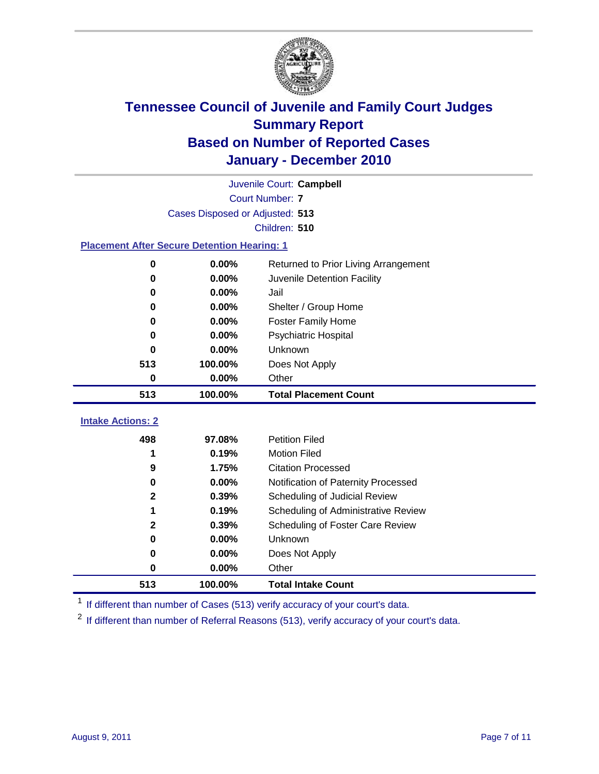

|                                                    | Juvenile Court: Campbell        |                                      |  |  |  |
|----------------------------------------------------|---------------------------------|--------------------------------------|--|--|--|
|                                                    | <b>Court Number: 7</b>          |                                      |  |  |  |
|                                                    | Cases Disposed or Adjusted: 513 |                                      |  |  |  |
|                                                    |                                 | Children: 510                        |  |  |  |
| <b>Placement After Secure Detention Hearing: 1</b> |                                 |                                      |  |  |  |
| 0                                                  | 0.00%                           | Returned to Prior Living Arrangement |  |  |  |
| $\bf{0}$                                           | 0.00%                           | Juvenile Detention Facility          |  |  |  |
| $\bf{0}$                                           | 0.00%                           | Jail                                 |  |  |  |
| 0                                                  | 0.00%                           | Shelter / Group Home                 |  |  |  |
| 0                                                  | 0.00%                           | <b>Foster Family Home</b>            |  |  |  |
| $\bf{0}$                                           | 0.00%                           | <b>Psychiatric Hospital</b>          |  |  |  |
| 0                                                  | 0.00%                           | Unknown                              |  |  |  |
| 513                                                | 100.00%                         | Does Not Apply                       |  |  |  |
| 0                                                  | 0.00%                           | Other                                |  |  |  |
| 513                                                | 100.00%                         | <b>Total Placement Count</b>         |  |  |  |
| <b>Intake Actions: 2</b>                           |                                 |                                      |  |  |  |
| 498                                                | 97.08%                          | <b>Petition Filed</b>                |  |  |  |
| 1                                                  | 0.19%                           | <b>Motion Filed</b>                  |  |  |  |
| 9                                                  | 1.75%                           | <b>Citation Processed</b>            |  |  |  |
| 0                                                  | 0.00%                           | Notification of Paternity Processed  |  |  |  |
| $\overline{2}$                                     | 0.39%                           | Scheduling of Judicial Review        |  |  |  |
| 1                                                  | 0.19%                           | Scheduling of Administrative Review  |  |  |  |
| $\mathbf{2}$                                       | 0.39%                           | Scheduling of Foster Care Review     |  |  |  |
| $\mathbf 0$                                        | 0.00%                           | Unknown                              |  |  |  |
| 0                                                  | 0.00%                           | Does Not Apply                       |  |  |  |
| $\pmb{0}$                                          |                                 |                                      |  |  |  |
|                                                    | 0.00%                           | Other                                |  |  |  |

<sup>1</sup> If different than number of Cases (513) verify accuracy of your court's data.

<sup>2</sup> If different than number of Referral Reasons (513), verify accuracy of your court's data.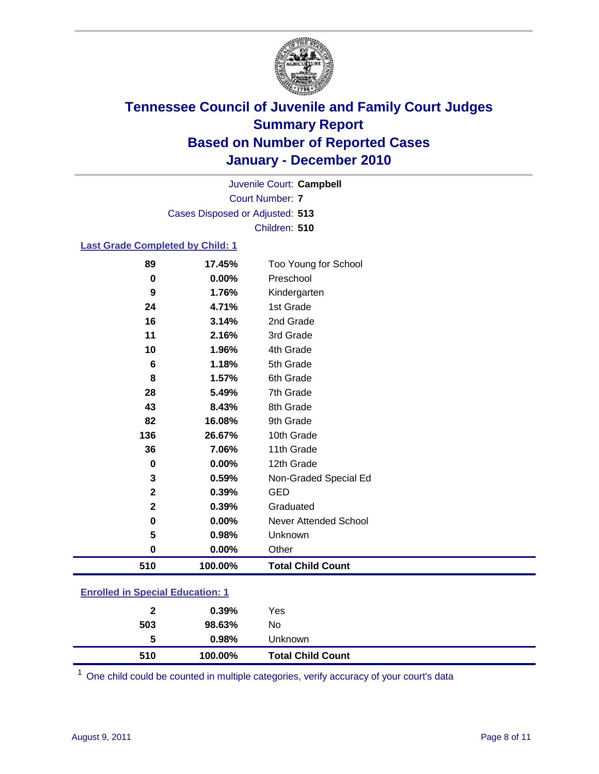

Court Number: **7** Juvenile Court: **Campbell** Cases Disposed or Adjusted: **513** Children: **510**

#### **Last Grade Completed by Child: 1**

| 510          | 100.00% | <b>Total Child Count</b> |
|--------------|---------|--------------------------|
| $\bf{0}$     | 0.00%   | Other                    |
| ${\bf 5}$    | 0.98%   | Unknown                  |
| $\pmb{0}$    | 0.00%   | Never Attended School    |
| $\mathbf{2}$ | 0.39%   | Graduated                |
| $\mathbf{2}$ | 0.39%   | <b>GED</b>               |
| $\mathbf 3$  | 0.59%   | Non-Graded Special Ed    |
| $\bf{0}$     | 0.00%   | 12th Grade               |
| 36           | 7.06%   | 11th Grade               |
| 136          | 26.67%  | 10th Grade               |
| 82           | 16.08%  | 9th Grade                |
| 43           | 8.43%   | 8th Grade                |
| 28           | 5.49%   | 7th Grade                |
| 8            | 1.57%   | 6th Grade                |
| 6            | 1.18%   | 5th Grade                |
| 10           | 1.96%   | 4th Grade                |
| 11           | 2.16%   | 3rd Grade                |
| 16           | 3.14%   | 2nd Grade                |
| 24           | 4.71%   | 1st Grade                |
| 9            | 1.76%   | Kindergarten             |
| $\bf{0}$     | 0.00%   | Preschool                |
| 89           | 17.45%  | Too Young for School     |

### **Enrolled in Special Education: 1**

| 503 | 98.63%  | No                       |  |
|-----|---------|--------------------------|--|
| 5   | 0.98%   | Unknown                  |  |
| 510 | 100.00% | <b>Total Child Count</b> |  |

One child could be counted in multiple categories, verify accuracy of your court's data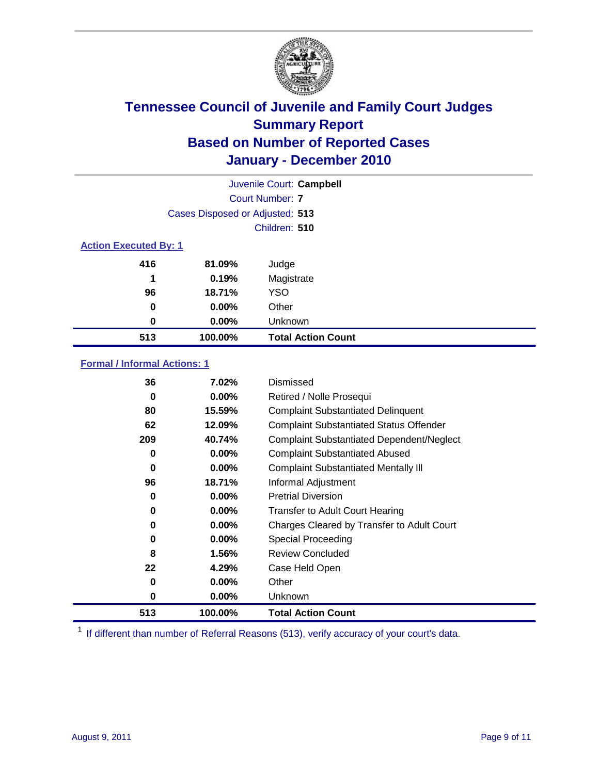

| Juvenile Court: Campbell     |                                 |                           |  |  |
|------------------------------|---------------------------------|---------------------------|--|--|
|                              | Court Number: 7                 |                           |  |  |
|                              | Cases Disposed or Adjusted: 513 |                           |  |  |
|                              | Children: 510                   |                           |  |  |
| <b>Action Executed By: 1</b> |                                 |                           |  |  |
| 416                          | 81.09%                          | Judge                     |  |  |
| 1                            | 0.19%                           | Magistrate                |  |  |
| 96                           | 18.71%                          | <b>YSO</b>                |  |  |
| 0                            | $0.00\%$                        | Other                     |  |  |
| 0                            | 0.00%                           | Unknown                   |  |  |
| 513                          | 100.00%                         | <b>Total Action Count</b> |  |  |

#### **Formal / Informal Actions: 1**

| 36  | 7.02%    | Dismissed                                        |
|-----|----------|--------------------------------------------------|
| 0   | $0.00\%$ | Retired / Nolle Prosequi                         |
| 80  | 15.59%   | <b>Complaint Substantiated Delinquent</b>        |
| 62  | 12.09%   | <b>Complaint Substantiated Status Offender</b>   |
| 209 | 40.74%   | <b>Complaint Substantiated Dependent/Neglect</b> |
| 0   | $0.00\%$ | <b>Complaint Substantiated Abused</b>            |
| 0   | $0.00\%$ | <b>Complaint Substantiated Mentally III</b>      |
| 96  | 18.71%   | Informal Adjustment                              |
| 0   | $0.00\%$ | <b>Pretrial Diversion</b>                        |
| 0   | $0.00\%$ | <b>Transfer to Adult Court Hearing</b>           |
| 0   | $0.00\%$ | Charges Cleared by Transfer to Adult Court       |
| 0   | $0.00\%$ | Special Proceeding                               |
| 8   | 1.56%    | <b>Review Concluded</b>                          |
| 22  | 4.29%    | Case Held Open                                   |
| 0   | $0.00\%$ | Other                                            |
| 0   | $0.00\%$ | <b>Unknown</b>                                   |
| 513 | 100.00%  | <b>Total Action Count</b>                        |

<sup>1</sup> If different than number of Referral Reasons (513), verify accuracy of your court's data.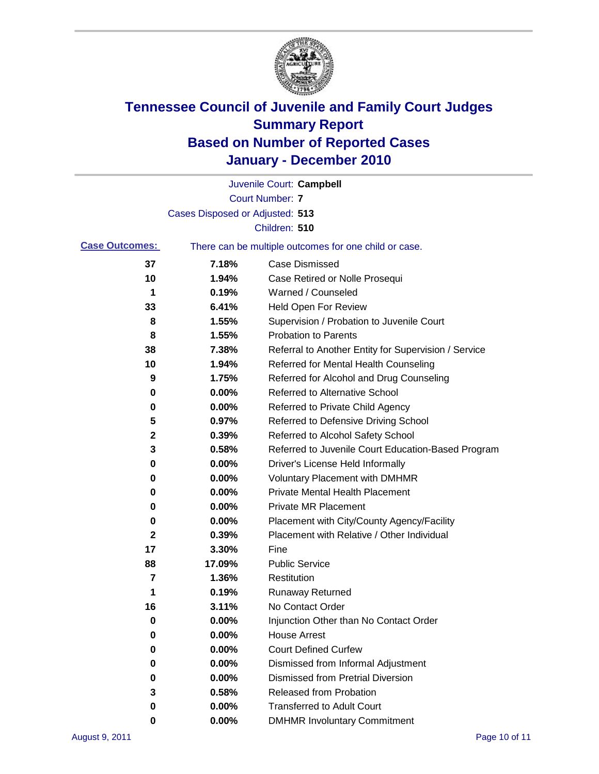

|                       |                                 | Juvenile Court: Campbell                              |
|-----------------------|---------------------------------|-------------------------------------------------------|
|                       |                                 | <b>Court Number: 7</b>                                |
|                       | Cases Disposed or Adjusted: 513 |                                                       |
|                       |                                 | Children: 510                                         |
| <b>Case Outcomes:</b> |                                 | There can be multiple outcomes for one child or case. |
| 37                    | 7.18%                           | <b>Case Dismissed</b>                                 |
| 10                    | 1.94%                           | Case Retired or Nolle Prosequi                        |
| 1                     | 0.19%                           | Warned / Counseled                                    |
| 33                    | 6.41%                           | <b>Held Open For Review</b>                           |
| 8                     | 1.55%                           | Supervision / Probation to Juvenile Court             |
| 8                     | 1.55%                           | <b>Probation to Parents</b>                           |
| 38                    | 7.38%                           | Referral to Another Entity for Supervision / Service  |
| 10                    | 1.94%                           | Referred for Mental Health Counseling                 |
| 9                     | 1.75%                           | Referred for Alcohol and Drug Counseling              |
| 0                     | 0.00%                           | Referred to Alternative School                        |
| 0                     | 0.00%                           | Referred to Private Child Agency                      |
| 5                     | 0.97%                           | Referred to Defensive Driving School                  |
| 2                     | 0.39%                           | Referred to Alcohol Safety School                     |
| 3                     | 0.58%                           | Referred to Juvenile Court Education-Based Program    |
| 0                     | 0.00%                           | Driver's License Held Informally                      |
| 0                     | 0.00%                           | <b>Voluntary Placement with DMHMR</b>                 |
| 0                     | 0.00%                           | <b>Private Mental Health Placement</b>                |
| 0                     | 0.00%                           | <b>Private MR Placement</b>                           |
| 0                     | 0.00%                           | Placement with City/County Agency/Facility            |
| 2                     | 0.39%                           | Placement with Relative / Other Individual            |
| 17                    | 3.30%                           | Fine                                                  |
| 88                    | 17.09%                          | <b>Public Service</b>                                 |
| 7                     | 1.36%                           | Restitution                                           |
| 1                     | 0.19%                           | Runaway Returned                                      |
| 16                    | 3.11%                           | No Contact Order                                      |
| 0                     | 0.00%                           | Injunction Other than No Contact Order                |
| 0                     | 0.00%                           | <b>House Arrest</b>                                   |
| 0                     | 0.00%                           | <b>Court Defined Curfew</b>                           |
| 0                     | 0.00%                           | Dismissed from Informal Adjustment                    |
| 0                     | 0.00%                           | <b>Dismissed from Pretrial Diversion</b>              |
| 3                     | 0.58%                           | Released from Probation                               |
| 0                     | 0.00%                           | <b>Transferred to Adult Court</b>                     |
| 0                     | 0.00%                           | <b>DMHMR Involuntary Commitment</b>                   |